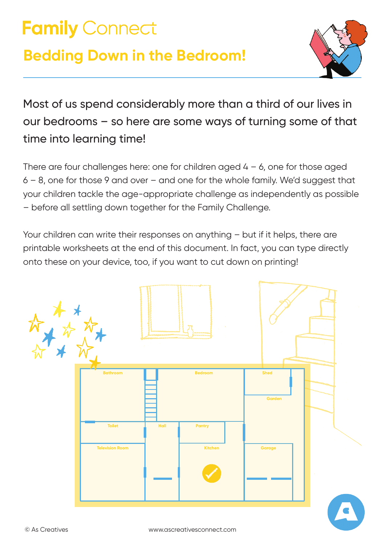# **Family Connect**

# **Bedding Down in the Bedroom!**



Most of us spend considerably more than a third of our lives in our bedrooms – so here are some ways of turning some of that time into learning time!

There are four challenges here: one for children aged  $4 - 6$ , one for those aged  $6 - 8$ , one for those 9 and over – and one for the whole family. We'd suggest that your children tackle the age-appropriate challenge as independently as possible – before all settling down together for the Family Challenge.

Your children can write their responses on anything – but if it helps, there are printable worksheets at the end of this document. In fact, you can type directly onto these on your device, too, if you want to cut down on printing!

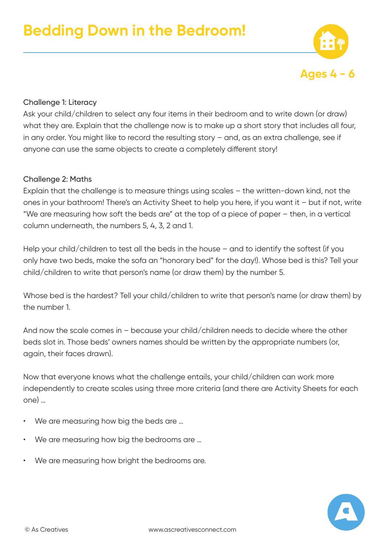

#### Challenge 1: Literacy

Ask your child/children to select any four items in their bedroom and to write down (or draw) what they are. Explain that the challenge now is to make up a short story that includes all four, in any order. You might like to record the resulting story – and, as an extra challenge, see if anyone can use the same objects to create a completely different story!

#### Challenge 2: Maths

Explain that the challenge is to measure things using scales – the written-down kind, not the ones in your bathroom! There's an Activity Sheet to help you here, if you want it – but if not, write "We are measuring how soft the beds are" at the top of a piece of paper – then, in a vertical column underneath, the numbers 5, 4, 3, 2 and 1.

Help your child/children to test all the beds in the house – and to identify the softest (if you only have two beds, make the sofa an "honorary bed" for the day!). Whose bed is this? Tell your child/children to write that person's name (or draw them) by the number 5.

Whose bed is the hardest? Tell your child/children to write that person's name (or draw them) by the number 1.

And now the scale comes in – because your child/children needs to decide where the other beds slot in. Those beds' owners names should be written by the appropriate numbers (or, again, their faces drawn).

Now that everyone knows what the challenge entails, your child/children can work more independently to create scales using three more criteria (and there are Activity Sheets for each one) …

- We are measuring how big the beds are ...
- We are measuring how big the bedrooms are …
- We are measuring how bright the bedrooms are.

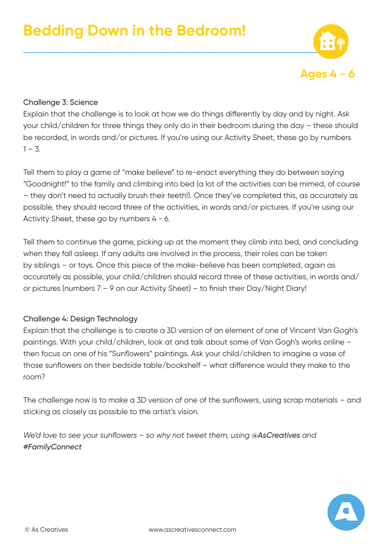

# Challenge 3: Science

Explain that the challenge is to look at how we do things differently by day and by night. Ask your child/children for three things they only do in their bedroom during the day – these should be recorded, in words and/or pictures. If you're using our Activity Sheet, these go by numbers  $1 - 3$ .

Tell them to play a game of "make believe" to re-enact everything they do between saying "Goodnight!" to the family and climbing into bed (a lot of the activities can be mimed, of course – they don't need to actually brush their teeth!). Once they've completed this, as accurately as possible, they should record three of the activities, in words and/or pictures. If you're using our Activity Sheet, these go by numbers 4 - 6.

Tell them to continue the game, picking up at the moment they climb into bed, and concluding when they fall asleep. If any adults are involved in the process, their roles can be taken by siblings – or toys. Once this piece of the make-believe has been completed, again as accurately as possible, your child/children should record three of these activities, in words and/ or pictures (numbers 7 – 9 on our Activity Sheet) – to finish their Day/Night Diary!

# Challenge 4: Design Technology

Explain that the challenge is to create a 3D version of an element of one of Vincent Van Gogh's paintings. With your child/children, look at and talk about some of Van Gogh's works online – then focus on one of his "Sunflowers" paintings. Ask your child/children to imagine a vase of those sunflowers on their bedside table/bookshelf – what difference would they make to the room?

The challenge now is to make a 3D version of one of the sunflowers, using scrap materials – and sticking as closely as possible to the artist's vision.

*We'd love to see your sunflowers - so why not tweet them, using @AsCreatives and #FamilyConnect*

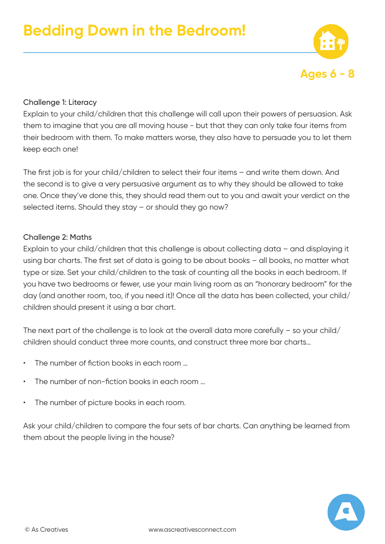

# Challenge 1: Literacy

Explain to your child/children that this challenge will call upon their powers of persuasion. Ask them to imagine that you are all moving house - but that they can only take four items from their bedroom with them. To make matters worse, they also have to persuade you to let them keep each one!

The first job is for your child/children to select their four items – and write them down. And the second is to give a very persuasive argument as to why they should be allowed to take one. Once they've done this, they should read them out to you and await your verdict on the selected items. Should they stay – or should they go now?

#### Challenge 2: Maths

Explain to your child/children that this challenge is about collecting data – and displaying it using bar charts. The first set of data is going to be about books – all books, no matter what type or size. Set your child/children to the task of counting all the books in each bedroom. If you have two bedrooms or fewer, use your main living room as an "honorary bedroom" for the day (and another room, too, if you need it)! Once all the data has been collected, your child/ children should present it using a bar chart.

The next part of the challenge is to look at the overall data more carefully – so your child/ children should conduct three more counts, and construct three more bar charts…

- The number of fiction books in each room …
- The number of non-fiction books in each room …
- The number of picture books in each room.

Ask your child/children to compare the four sets of bar charts. Can anything be learned from them about the people living in the house?

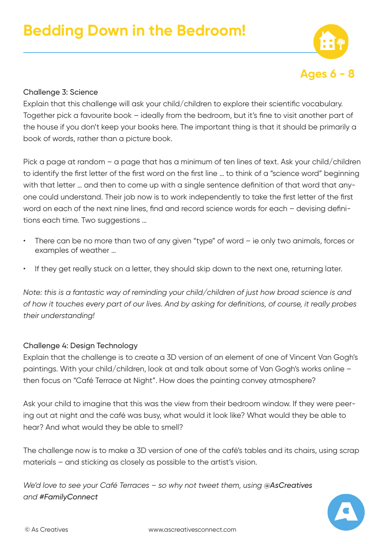

#### Challenge 3: Science

Explain that this challenge will ask your child/children to explore their scientific vocabulary. Together pick a favourite book – ideally from the bedroom, but it's fine to visit another part of the house if you don't keep your books here. The important thing is that it should be primarily a book of words, rather than a picture book.

Pick a page at random - a page that has a minimum of ten lines of text. Ask your child/children to identify the first letter of the first word on the first line … to think of a "science word" beginning with that letter … and then to come up with a single sentence definition of that word that anyone could understand. Their job now is to work independently to take the first letter of the first word on each of the next nine lines, find and record science words for each – devising definitions each time. Two suggestions …

- There can be no more than two of any given "type" of word ie only two animals, forces or examples of weather …
- If they get really stuck on a letter, they should skip down to the next one, returning later.

*Note: this is a fantastic way of reminding your child/children of just how broad science is and of how it touches every part of our lives. And by asking for definitions, of course, it really probes their understanding!*

# Challenge 4: Design Technology

Explain that the challenge is to create a 3D version of an element of one of Vincent Van Gogh's paintings. With your child/children, look at and talk about some of Van Gogh's works online – then focus on "Café Terrace at Night". How does the painting convey atmosphere?

Ask your child to imagine that this was the view from their bedroom window. If they were peering out at night and the café was busy, what would it look like? What would they be able to hear? And what would they be able to smell?

The challenge now is to make a 3D version of one of the café's tables and its chairs, using scrap materials – and sticking as closely as possible to the artist's vision.

*We'd love to see your Café Terraces - so why not tweet them, using @AsCreatives and #FamilyConnect*

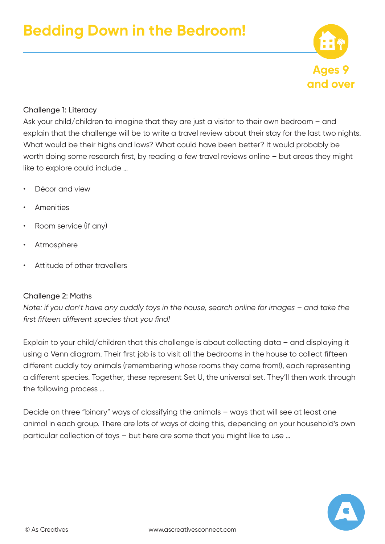# Challenge 1: Literacy

Ask your child/children to imagine that they are just a visitor to their own bedroom – and explain that the challenge will be to write a travel review about their stay for the last two nights. What would be their highs and lows? What could have been better? It would probably be worth doing some research first, by reading a few travel reviews online – but areas they might like to explore could include …

- Décor and view
- Amenities
- Room service (if any)
- **Atmosphere**
- Attitude of other travellers

# Challenge 2: Maths

*Note: if you don't have any cuddly toys in the house, search online for images – and take the first fifteen different species that you find!*

Explain to your child/children that this challenge is about collecting data – and displaying it using a Venn diagram. Their first job is to visit all the bedrooms in the house to collect fifteen different cuddly toy animals (remembering whose rooms they came from!), each representing a different species. Together, these represent Set U, the universal set. They'll then work through the following process …

Decide on three "binary" ways of classifying the animals – ways that will see at least one animal in each group. There are lots of ways of doing this, depending on your household's own particular collection of toys – but here are some that you might like to use …



**Ages 9**

**and over**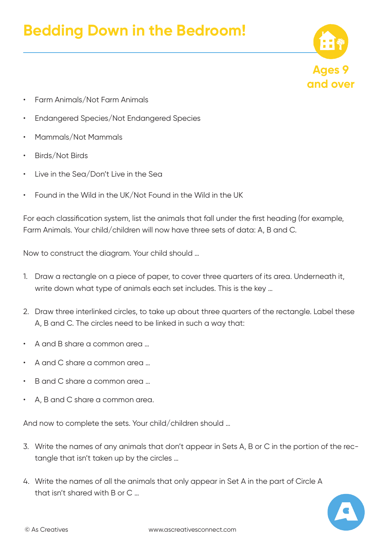# **Bedding Down in the Bedroom!**



- Farm Animals/Not Farm Animals
- Endangered Species/Not Endangered Species
- Mammals/Not Mammals
- Birds/Not Birds
- Live in the Sea/Don't Live in the Sea
- Found in the Wild in the UK/Not Found in the Wild in the UK

For each classification system, list the animals that fall under the first heading (for example, Farm Animals. Your child/children will now have three sets of data: A, B and C.

Now to construct the diagram. Your child should …

- 1. Draw a rectangle on a piece of paper, to cover three quarters of its area. Underneath it, write down what type of animals each set includes. This is the key …
- 2. Draw three interlinked circles, to take up about three quarters of the rectangle. Label these A, B and C. The circles need to be linked in such a way that:
- A and B share a common area …
- A and C share a common area …
- B and C share a common area …
- A, B and C share a common area.

And now to complete the sets. Your child/children should …

- 3. Write the names of any animals that don't appear in Sets A, B or C in the portion of the rectangle that isn't taken up by the circles …
- 4. Write the names of all the animals that only appear in Set A in the part of Circle A that isn't shared with B or C …

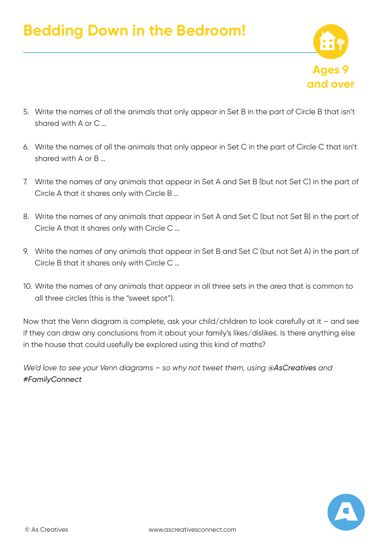

- 5. Write the names of all the animals that only appear in Set B in the part of Circle B that isn't shared with A or C …
- 6. Write the names of all the animals that only appear in Set C in the part of Circle C that isn't shared with A or B …
- 7. Write the names of any animals that appear in Set A and Set B (but not Set C) in the part of Circle A that it shares only with Circle B …
- 8. Write the names of any animals that appear in Set A and Set C (but not Set B) in the part of Circle A that it shares only with Circle C …
- 9. Write the names of any animals that appear in Set B and Set C (but not Set A) in the part of Circle B that it shares only with Circle C …
- 10. Write the names of any animals that appear in all three sets in the area that is common to all three circles (this is the "sweet spot").

Now that the Venn diagram is complete, ask your child/children to look carefully at it – and see if they can draw any conclusions from it about your family's likes/dislikes. Is there anything else in the house that could usefully be explored using this kind of maths?

*We'd love to see your Venn diagrams - so why not tweet them, using @AsCreatives and #FamilyConnect*

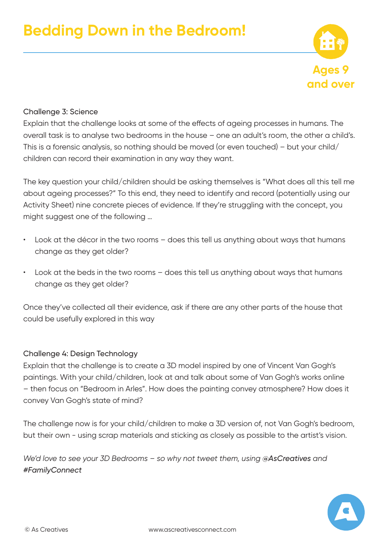

#### Challenge 3: Science

Explain that the challenge looks at some of the effects of ageing processes in humans. The overall task is to analyse two bedrooms in the house – one an adult's room, the other a child's. This is a forensic analysis, so nothing should be moved (or even touched) – but your child/ children can record their examination in any way they want.

The key question your child/children should be asking themselves is "What does all this tell me about ageing processes?" To this end, they need to identify and record (potentially using our Activity Sheet) nine concrete pieces of evidence. If they're struggling with the concept, you might suggest one of the following …

- Look at the décor in the two rooms does this tell us anything about ways that humans change as they get older?
- Look at the beds in the two rooms does this tell us anything about ways that humans change as they get older?

Once they've collected all their evidence, ask if there are any other parts of the house that could be usefully explored in this way

#### Challenge 4: Design Technology

Explain that the challenge is to create a 3D model inspired by one of Vincent Van Gogh's paintings. With your child/children, look at and talk about some of Van Gogh's works online – then focus on "Bedroom in Arles". How does the painting convey atmosphere? How does it convey Van Gogh's state of mind?

The challenge now is for your child/children to make a 3D version of, not Van Gogh's bedroom, but their own - using scrap materials and sticking as closely as possible to the artist's vision.

*We'd love to see your 3D Bedrooms - so why not tweet them, using @AsCreatives and #FamilyConnect*

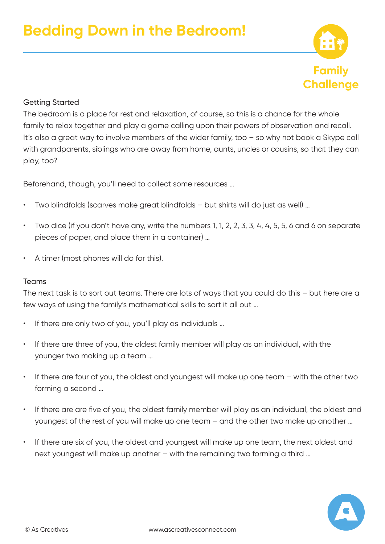

# Getting Started

The bedroom is a place for rest and relaxation, of course, so this is a chance for the whole family to relax together and play a game calling upon their powers of observation and recall. It's also a great way to involve members of the wider family, too – so why not book a Skype call with grandparents, siblings who are away from home, aunts, uncles or cousins, so that they can play, too?

Beforehand, though, you'll need to collect some resources …

- Two blindfolds (scarves make great blindfolds but shirts will do just as well) …
- Two dice (if you don't have any, write the numbers 1, 1, 2, 2, 3, 3, 4, 4, 5, 5, 6 and 6 on separate pieces of paper, and place them in a container) …
- A timer (most phones will do for this).

# Teams

The next task is to sort out teams. There are lots of ways that you could do this – but here are a few ways of using the family's mathematical skills to sort it all out …

- If there are only two of you, you'll play as individuals ...
- If there are three of you, the oldest family member will play as an individual, with the younger two making up a team …
- If there are four of you, the oldest and youngest will make up one team with the other two forming a second …
- If there are are five of you, the oldest family member will play as an individual, the oldest and youngest of the rest of you will make up one team – and the other two make up another …
- If there are six of you, the oldest and youngest will make up one team, the next oldest and next youngest will make up another – with the remaining two forming a third …

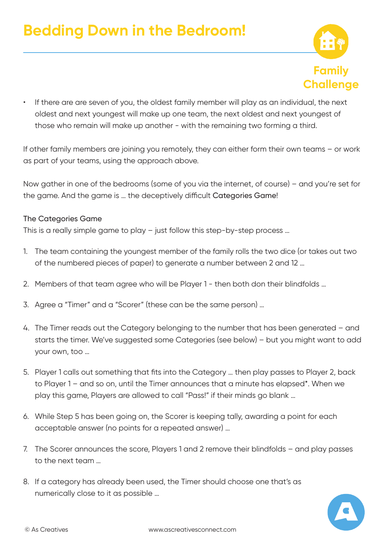

• If there are are seven of you, the oldest family member will play as an individual, the next oldest and next youngest will make up one team, the next oldest and next youngest of those who remain will make up another - with the remaining two forming a third.

If other family members are joining you remotely, they can either form their own teams – or work as part of your teams, using the approach above.

Now gather in one of the bedrooms (some of you via the internet, of course) – and you're set for the game. And the game is … the deceptively difficult Categories Game!

#### The Categories Game

This is a really simple game to play – just follow this step-by-step process …

- 1. The team containing the youngest member of the family rolls the two dice (or takes out two of the numbered pieces of paper) to generate a number between 2 and 12 …
- 2. Members of that team agree who will be Player 1 then both don their blindfolds …
- 3. Agree a "Timer" and a "Scorer" (these can be the same person) …
- 4. The Timer reads out the Category belonging to the number that has been generated and starts the timer. We've suggested some Categories (see below) – but you might want to add your own, too …
- 5. Player 1 calls out something that fits into the Category … then play passes to Player 2, back to Player 1 – and so on, until the Timer announces that a minute has elapsed\*. When we play this game, Players are allowed to call "Pass!" if their minds go blank …
- 6. While Step 5 has been going on, the Scorer is keeping tally, awarding a point for each acceptable answer (no points for a repeated answer) …
- 7. The Scorer announces the score, Players 1 and 2 remove their blindfolds and play passes to the next team …
- 8. If a category has already been used, the Timer should choose one that's as numerically close to it as possible …